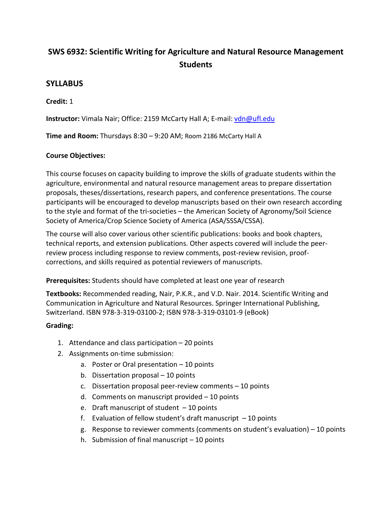# **SWS 6932: Scientific Writing for Agriculture and Natural Resource Management Students**

## **SYLLABUS**

#### **Credit:** 1

**Instructor:** Vimala Nair; Office: 2159 McCarty Hall A; E-mail: [vdn@ufl.edu](mailto:vdn@ufl.edu)

**Time and Room:** Thursdays 8:30 – 9:20 AM; Room 2186 McCarty Hall A

## **Course Objectives:**

This course focuses on capacity building to improve the skills of graduate students within the agriculture, environmental and natural resource management areas to prepare dissertation proposals, theses/dissertations, research papers, and conference presentations. The course participants will be encouraged to develop manuscripts based on their own research according to the style and format of the tri-societies – the American Society of Agronomy/Soil Science Society of America/Crop Science Society of America (ASA/SSSA/CSSA).

The course will also cover various other scientific publications: books and book chapters, technical reports, and extension publications. Other aspects covered will include the peerreview process including response to review comments, post-review revision, proofcorrections, and skills required as potential reviewers of manuscripts.

**Prerequisites:** Students should have completed at least one year of research

**Textbooks:** Recommended reading, Nair, P.K.R., and V.D. Nair. 2014. Scientific Writing and Communication in Agriculture and Natural Resources. Springer International Publishing, Switzerland. ISBN 978-3-319-03100-2; ISBN 978-3-319-03101-9 (eBook)

## **Grading:**

- 1. Attendance and class participation 20 points
- 2. Assignments on-time submission:
	- a. Poster or Oral presentation 10 points
	- b. Dissertation proposal 10 points
	- c. Dissertation proposal peer-review comments 10 points
	- d. Comments on manuscript provided 10 points
	- e. Draft manuscript of student  $-10$  points
	- f. Evaluation of fellow student's draft manuscript  $-10$  points
	- g. Response to reviewer comments (comments on student's evaluation) 10 points
	- h. Submission of final manuscript 10 points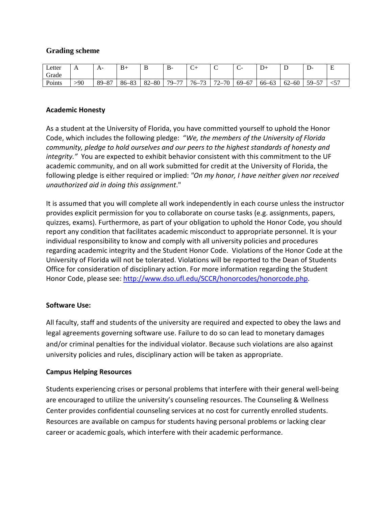## **Grading scheme**

| Letter | $\Gamma$ | $A^-$           | $B+$      | u         | $B -$                     | ∽<br>◡                  | ╰         | ֊     | ມ+        | -         | - יש                          | E                    |
|--------|----------|-----------------|-----------|-----------|---------------------------|-------------------------|-----------|-------|-----------|-----------|-------------------------------|----------------------|
| Grade  |          |                 |           |           |                           |                         |           |       |           |           |                               |                      |
| Points | >90      | O7<br>$89 - 8'$ | $86 - 83$ | $82 - 80$ | $\overline{a}$<br>$79-$ . | $\overline{z}$<br>$76-$ | -70<br>72 | 69–67 | $66 - 63$ | $62 - 60$ | $\epsilon$<br>$59-$<br>້<br>ັ | $-5^{\circ}$<br>ו ג> |

#### **Academic Honesty**

As a student at the University of Florida, you have committed yourself to uphold the Honor Code, which includes the following pledge: "*We, the members of the University of Florida community, pledge to hold ourselves and our peers to the highest standards of honesty and integrity."* You are expected to exhibit behavior consistent with this commitment to the UF academic community, and on all work submitted for credit at the University of Florida, the following pledge is either required or implied: *"On my honor, I have neither given nor received unauthorized aid in doing this assignment*."

It is assumed that you will complete all work independently in each course unless the instructor provides explicit permission for you to collaborate on course tasks (e.g. assignments, papers, quizzes, exams). Furthermore, as part of your obligation to uphold the Honor Code, you should report any condition that facilitates academic misconduct to appropriate personnel. It is your individual responsibility to know and comply with all university policies and procedures regarding academic integrity and the Student Honor Code. Violations of the Honor Code at the University of Florida will not be tolerated. Violations will be reported to the Dean of Students Office for consideration of disciplinary action. For more information regarding the Student Honor Code, please see: [http://www.dso.ufl.edu/SCCR/honorcodes/honorcode.php.](http://www.dso.ufl.edu/SCCR/honorcodes/honorcode.php)

#### **Software Use:**

All faculty, staff and students of the university are required and expected to obey the laws and legal agreements governing software use. Failure to do so can lead to monetary damages and/or criminal penalties for the individual violator. Because such violations are also against university policies and rules, disciplinary action will be taken as appropriate.

#### **Campus Helping Resources**

Students experiencing crises or personal problems that interfere with their general well-being are encouraged to utilize the university's counseling resources. The Counseling & Wellness Center provides confidential counseling services at no cost for currently enrolled students. Resources are available on campus for students having personal problems or lacking clear career or academic goals, which interfere with their academic performance.